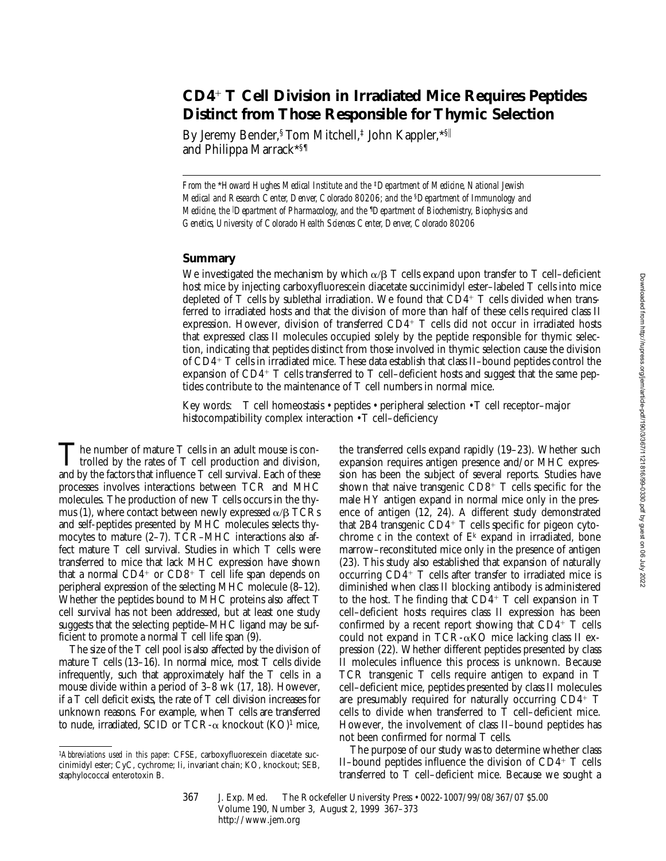# **CD4**<sup>1</sup> **T Cell Division in Irradiated Mice Requires Peptides Distinct from Those Responsible for Thymic Selection**

By Jeremy Bender, <sup>§</sup> Tom Mitchell,<sup>‡</sup> John Kappler, \*<sup>§||</sup> and Philippa Marrack\*§¶

*From the* \**Howard Hughes Medical Institute and the* ‡*Department of Medicine, National Jewish Medical and Research Center, Denver, Colorado 80206; and the* §*Department of Immunology and Medicine, the* <sup>i</sup> *Department of Pharmacology, and the* ¶ *Department of Biochemistry, Biophysics and Genetics, University of Colorado Health Sciences Center, Denver, Colorado 80206*

## **Summary**

We investigated the mechanism by which  $\alpha/\beta$  T cells expand upon transfer to T cell–deficient host mice by injecting carboxyfluorescein diacetate succinimidyl ester–labeled T cells into mice depleted of T cells by sublethal irradiation. We found that  $CD4^+$  T cells divided when transferred to irradiated hosts and that the division of more than half of these cells required class II expression. However, division of transferred  $CD4^+$  T cells did not occur in irradiated hosts that expressed class II molecules occupied solely by the peptide responsible for thymic selection, indicating that peptides distinct from those involved in thymic selection cause the division of CD4<sup>1</sup> T cells in irradiated mice. These data establish that class II–bound peptides control the expansion of  $CD4^+$  T cells transferred to T cell–deficient hosts and suggest that the same peptides contribute to the maintenance of T cell numbers in normal mice.

Key words: T cell homeostasis • peptides • peripheral selection • T cell receptor–major histocompatibility complex interaction  $\cdot$  T cell–deficiency

The number of mature T cells in an adult mouse is controlled by the rates of T cell production and division, and by the factors that influence T cell survival. Each of these processes involves interactions between TCR and MHC molecules. The production of new T cells occurs in the thymus (1), where contact between newly expressed  $\alpha/\beta$  TCRs and self-peptides presented by MHC molecules selects thymocytes to mature (2–7). TCR–MHC interactions also affect mature T cell survival. Studies in which T cells were transferred to mice that lack MHC expression have shown that a normal  $CD4^+$  or  $CD8^+$  T cell life span depends on peripheral expression of the selecting MHC molecule (8–12). Whether the peptides bound to MHC proteins also affect T cell survival has not been addressed, but at least one study suggests that the selecting peptide–MHC ligand may be sufficient to promote a normal T cell life span (9).

The size of the T cell pool is also affected by the division of mature T cells (13–16). In normal mice, most T cells divide infrequently, such that approximately half the T cells in a mouse divide within a period of 3–8 wk (17, 18). However, if a T cell deficit exists, the rate of T cell division increases for unknown reasons. For example, when T cells are transferred to nude, irradiated, SCID or TCR- $\alpha$  knockout (KO)<sup>1</sup> mice,

the transferred cells expand rapidly (19–23). Whether such expansion requires antigen presence and/or MHC expression has been the subject of several reports. Studies have shown that naive transgenic  $CD8^+$  T cells specific for the male HY antigen expand in normal mice only in the presence of antigen (12, 24). A different study demonstrated that 2B4 transgenic  $CD4^+$  T cells specific for pigeon cytochrome  $c$  in the context of  $E^k$  expand in irradiated, bone marrow–reconstituted mice only in the presence of antigen (23). This study also established that expansion of naturally occurring  $CD4^+$  T cells after transfer to irradiated mice is diminished when class II blocking antibody is administered to the host. The finding that  $CD4^+$  T cell expansion in T cell–deficient hosts requires class II expression has been confirmed by a recent report showing that  $CD4^+$  T cells could not expand in TCR- $\alpha$ KO mice lacking class II expression (22). Whether different peptides presented by class II molecules influence this process is unknown. Because TCR transgenic T cells require antigen to expand in T cell–deficient mice, peptides presented by class II molecules are presumably required for naturally occurring  $CD4^+$  T cells to divide when transferred to T cell–deficient mice. However, the involvement of class II–bound peptides has not been confirmed for normal T cells.

The purpose of our study was to determine whether class II–bound peptides influence the division of  $CD4^+$  T cells transferred to T cell–deficient mice. Because we sought a

<sup>1</sup>*Abbreviations used in this paper:* CFSE, carboxyfluorescein diacetate succinimidyl ester; CyC, cychrome; Ii, invariant chain; KO, knockout; SEB, staphylococcal enterotoxin B.

<sup>367</sup> J. Exp. Med. © The Rockefeller University Press • 0022-1007/99/08/367/07 \$5.00 Volume 190, Number 3, August 2, 1999 367–373 http://www.jem.org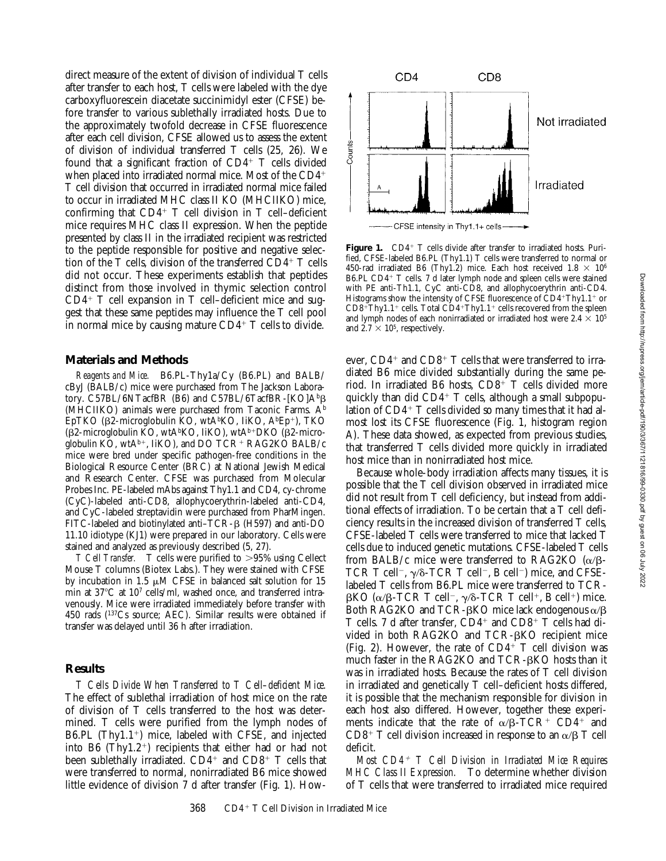direct measure of the extent of division of individual T cells after transfer to each host, T cells were labeled with the dye carboxyfluorescein diacetate succinimidyl ester (CFSE) before transfer to various sublethally irradiated hosts. Due to the approximately twofold decrease in CFSE fluorescence after each cell division, CFSE allowed us to assess the extent of division of individual transferred T cells (25, 26). We found that a significant fraction of  $CD4^+$  T cells divided when placed into irradiated normal mice. Most of the  $CD4<sup>+</sup>$ T cell division that occurred in irradiated normal mice failed to occur in irradiated MHC class II KO (MHCIIKO) mice, confirming that  $CD4^+$  T cell division in T cell-deficient mice requires MHC class II expression. When the peptide presented by class II in the irradiated recipient was restricted to the peptide responsible for positive and negative selection of the T cells, division of the transferred  $CD4^+$  T cells did not occur. These experiments establish that peptides distinct from those involved in thymic selection control  $CD4+T$  cell expansion in T cell–deficient mice and suggest that these same peptides may influence the T cell pool in normal mice by causing mature  $CD4^+$  T cells to divide.

## **Materials and Methods**

*Reagents and Mice.* B6.PL-Thy1a/Cy (B6.PL) and BALB/ cByJ (BALB/c) mice were purchased from The Jackson Laboratory. C57BL/6NTacfBR (B6) and C57BL/6TacfBR-[KO] $A^{b}B$ (MHCIIKO) animals were purchased from Taconic Farms.  $A<sup>b</sup>$ EpTKO ( $\beta$ 2-microglobulin KO, wtA<sup>b</sup>KO, IiKO, A<sup>b</sup>Ep<sup>+</sup>), TKO  $(\beta$ 2-microglobulin KO, wtA<sup>b</sup>KO, IiKO), wtA<sup>b+</sup>DKO ( $\beta$ 2-microglobulin KO, wt $A^{b+}$ , IiKO), and DO TCR<sup>+</sup> RAG2KO BALB/c mice were bred under specific pathogen-free conditions in the Biological Resource Center (BRC) at National Jewish Medical and Research Center. CFSE was purchased from Molecular Probes Inc. PE-labeled mAbs against Thy1.1 and CD4, cy-chrome (CyC)-labeled anti-CD8, allophycoerythrin-labeled anti-CD4, and CyC-labeled streptavidin were purchased from PharMingen. FITC-labeled and biotinylated anti-TCR- $\beta$  (H597) and anti-DO 11.10 idiotype (KJ1) were prepared in our laboratory. Cells were stained and analyzed as previously described (5, 27).

*T Cell Transfer.* T cells were purified to >95% using Cellect Mouse T columns (Biotex Labs.). They were stained with CFSE by incubation in 1.5  $\mu$ M CFSE in balanced salt solution for 15 min at  $37^{\circ}$ C at  $10^{7}$  cells/ml, washed once, and transferred intravenously. Mice were irradiated immediately before transfer with 450 rads (137Cs source; AEC). Similar results were obtained if transfer was delayed until 36 h after irradiation.

# **Results**

*T Cells Divide When Transferred to T Cell–deficient Mice.* The effect of sublethal irradiation of host mice on the rate of division of T cells transferred to the host was determined. T cells were purified from the lymph nodes of B6.PL (Thy1.1<sup>+</sup>) mice, labeled with CFSE, and injected into B6 (Thy1.2<sup>+</sup>) recipients that either had or had not been sublethally irradiated.  $CD4^+$  and  $CD8^+$  T cells that were transferred to normal, nonirradiated B6 mice showed little evidence of division 7 d after transfer (Fig. 1). How-



Figure 1. CD4<sup>+</sup> T cells divide after transfer to irradiated hosts. Purified, CFSE-labeled B6.PL (Thy1.1) T cells were transferred to normal or 450-rad irradiated B6 (Thy1.2) mice. Each host received  $1.8 \times 10^6$ B6.PL CD4<sup>+</sup> T cells. 7 d later lymph node and spleen cells were stained with PE anti-Th1.1, CyC anti-CD8, and allophycoerythrin anti-CD4. Histograms show the intensity of CFSE fluorescence of  $\text{CD4+Thy1.1+}$  or  $CDB+Thy1.1+$  cells. Total  $CDA+Thy1.1+$  cells recovered from the spleen and lymph nodes of each nonirradiated or irradiated host were 2.4  $\times$  10<sup>5</sup> and  $2.7 \times 10^5$ , respectively.

ever,  $CD4^+$  and  $CD8^+$  T cells that were transferred to irradiated B6 mice divided substantially during the same period. In irradiated B6 hosts, CD8+ T cells divided more quickly than did  $CD4^+$  T cells, although a small subpopulation of  $CD4^+$  T cells divided so many times that it had almost lost its CFSE fluorescence (Fig. 1, histogram region A). These data showed, as expected from previous studies, that transferred T cells divided more quickly in irradiated host mice than in nonirradiated host mice.

Because whole-body irradiation affects many tissues, it is possible that the T cell division observed in irradiated mice did not result from T cell deficiency, but instead from additional effects of irradiation. To be certain that a T cell deficiency results in the increased division of transferred T cells, CFSE-labeled T cells were transferred to mice that lacked T cells due to induced genetic mutations. CFSE-labeled T cells from BALB/c mice were transferred to RAG2KO  $(\alpha/\beta - \alpha)$ TCR T cell<sup>-</sup>,  $\gamma$ / $\delta$ -TCR T cell<sup>-</sup>, B cell<sup>-</sup>) mice, and CFSElabeled T cells from B6.PL mice were transferred to TCR- $\beta$ KO (α/β-TCR T cell<sup>-</sup>,  $\gamma$ /δ-TCR T cell<sup>+</sup>, B cell<sup>+</sup>) mice. Both RAG2KO and TCR- $\beta$ KO mice lack endogenous  $\alpha/\beta$ T cells. 7 d after transfer,  $CD4^+$  and  $CD8^+$  T cells had divided in both RAG2KO and TCR-bKO recipient mice (Fig. 2). However, the rate of  $CD4^+$  T cell division was much faster in the RAG2KO and TCR-BKO hosts than it was in irradiated hosts. Because the rates of T cell division in irradiated and genetically T cell–deficient hosts differed, it is possible that the mechanism responsible for division in each host also differed. However, together these experiments indicate that the rate of  $\alpha/\beta$ -TCR<sup>+</sup> CD4<sup>+</sup> and CD8<sup>+</sup> T cell division increased in response to an  $\alpha/\beta$  T cell deficit.

*Most CD4*1 *T Cell Division in Irradiated Mice Requires MHC Class II Expression.* To determine whether division of T cells that were transferred to irradiated mice required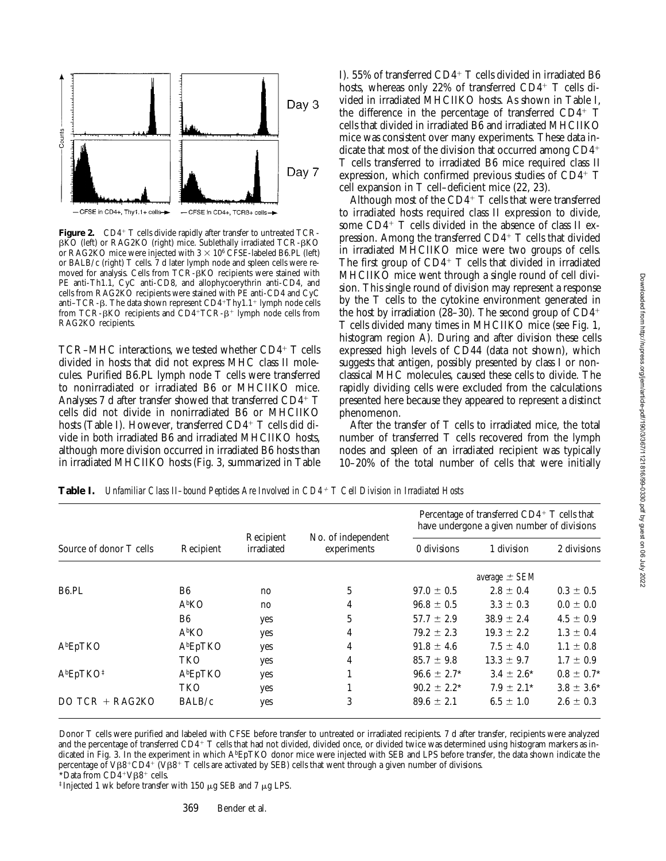

Figure 2. CD4<sup>+</sup> T cells divide rapidly after transfer to untreated TCR- $\beta$ KO (left) or RAG2KO (right) mice. Sublethally irradiated TCR- $\beta$ KO or RAG2KO mice were injected with  $3 \times 10^6$  CFSE-labeled B6.PL (left) or BALB/c (right) T cells. 7 d later lymph node and spleen cells were removed for analysis. Cells from TCR-BKO recipients were stained with PE anti-Th1.1, CyC anti-CD8, and allophycoerythrin anti-CD4, and cells from RAG2KO recipients were stained with PE anti-CD4 and CyC anti–TCR- $\beta$ . The data shown represent CD4+Thy1.1+ lymph node cells from TCR- $\beta$ KO recipients and CD4+TCR- $\beta$ <sup>+</sup> lymph node cells from RAG2KO recipients.

TCR–MHC interactions, we tested whether  $CD4^+$  T cells divided in hosts that did not express MHC class II molecules. Purified B6.PL lymph node T cells were transferred to nonirradiated or irradiated B6 or MHCIIKO mice. Analyses 7 d after transfer showed that transferred  $CD4^+$  T cells did not divide in nonirradiated B6 or MHCIIKO hosts (Table I). However, transferred CD4+ T cells did divide in both irradiated B6 and irradiated MHCIIKO hosts, although more division occurred in irradiated B6 hosts than in irradiated MHCIIKO hosts (Fig. 3, summarized in Table I). 55% of transferred  $CD4+T$  cells divided in irradiated B6 hosts, whereas only 22% of transferred  $CD4^+$  T cells divided in irradiated MHCIIKO hosts. As shown in Table I, the difference in the percentage of transferred  $CD4^+$  T cells that divided in irradiated B6 and irradiated MHCIIKO mice was consistent over many experiments. These data indicate that most of the division that occurred among  $CD4<sup>+</sup>$ T cells transferred to irradiated B6 mice required class II expression, which confirmed previous studies of  $CD4^+$  T cell expansion in T cell–deficient mice (22, 23).

Although most of the  $CD4^+$  T cells that were transferred to irradiated hosts required class II expression to divide, some  $CD4^+$  T cells divided in the absence of class II expression. Among the transferred  $CD4^+$  T cells that divided in irradiated MHCIIKO mice were two groups of cells. The first group of  $CD4+T$  cells that divided in irradiated MHCIIKO mice went through a single round of cell division. This single round of division may represent a response by the T cells to the cytokine environment generated in the host by irradiation (28–30). The second group of  $CD4^+$ T cells divided many times in MHCIIKO mice (see Fig. 1, histogram region A). During and after division these cells expressed high levels of CD44 (data not shown), which suggests that antigen, possibly presented by class I or nonclassical MHC molecules, caused these cells to divide. The rapidly dividing cells were excluded from the calculations presented here because they appeared to represent a distinct phenomenon.

After the transfer of T cells to irradiated mice, the total number of transferred T cells recovered from the lymph nodes and spleen of an irradiated recipient was typically 10–20% of the total number of cells that were initially

| Source of donor T cells           | Recipient         | Recipient<br>irradiated | No. of independent<br>experiments | Percentage of transferred CD4+ T cells that<br>have undergone a given number of divisions |                   |                 |
|-----------------------------------|-------------------|-------------------------|-----------------------------------|-------------------------------------------------------------------------------------------|-------------------|-----------------|
|                                   |                   |                         |                                   | 0 divisions                                                                               | 1 division        | 2 divisions     |
|                                   |                   |                         |                                   |                                                                                           | average $\pm$ SEM |                 |
| B <sub>6</sub> .PL                | B6                | no                      | 5                                 | $97.0 \pm 0.5$                                                                            | $2.8 \pm 0.4$     | $0.3 \pm 0.5$   |
|                                   | A <sup>b</sup> KO | no                      | 4                                 | $96.8 \pm 0.5$                                                                            | $3.3 \pm 0.3$     | $0.0 \pm 0.0$   |
|                                   | B <sub>6</sub>    | yes                     | 5                                 | $57.7 \pm 2.9$                                                                            | $38.9 \pm 2.4$    | $4.5 \pm 0.9$   |
|                                   | A <sup>b</sup> KO | yes                     | 4                                 | $79.2 \pm 2.3$                                                                            | $19.3 \pm 2.2$    | $1.3 \pm 0.4$   |
| AbEpTKO                           | AbEpTKO           | yes                     | 4                                 | $91.8 \pm 4.6$                                                                            | $7.5 \pm 4.0$     | $1.1 \pm 0.8$   |
|                                   | <b>TKO</b>        | yes                     | 4                                 | $85.7 \pm 9.8$                                                                            | $13.3 \pm 9.7$    | $1.7 \pm 0.9$   |
| A <sup>b</sup> EpTKO <sup>‡</sup> | AbEpTKO           | yes                     |                                   | $96.6 \pm 2.7^*$                                                                          | $3.4 \pm 2.6^*$   | $0.8 \pm 0.7^*$ |
|                                   | TKO               | yes                     |                                   | $90.2 \pm 2.2^*$                                                                          | $7.9 \pm 2.1^*$   | $3.8 \pm 3.6^*$ |
| DO TCR $+$ RAG2KO                 | BALB/c            | yes                     | 3                                 | $89.6 \pm 2.1$                                                                            | $6.5 \pm 1.0$     | $2.6 \pm 0.3$   |

**Table I.** *Unfamiliar Class II–bound Peptides Are Involved in CD4*1 *T Cell Division in Irradiated Hosts*

Donor T cells were purified and labeled with CFSE before transfer to untreated or irradiated recipients. 7 d after transfer, recipients were analyzed and the percentage of transferred  $CD4+T$  cells that had not divided, divided once, or divided twice was determined using histogram markers as indicated in Fig. 3. In the experiment in which A<sup>b</sup>EpTKO donor mice were injected with SEB and LPS before transfer, the data shown indicate the percentage of V $\beta8^+CD4^+$  (V $\beta8^+$  T cells are activated by SEB) cells that went through a given number of divisions.

 $*$ Data from CD4+V $\beta$ 8+ cells.

<sup>‡</sup>Injected 1 wk before transfer with 150  $\mu$ g SEB and 7  $\mu$ g LPS.

369 Bender et al.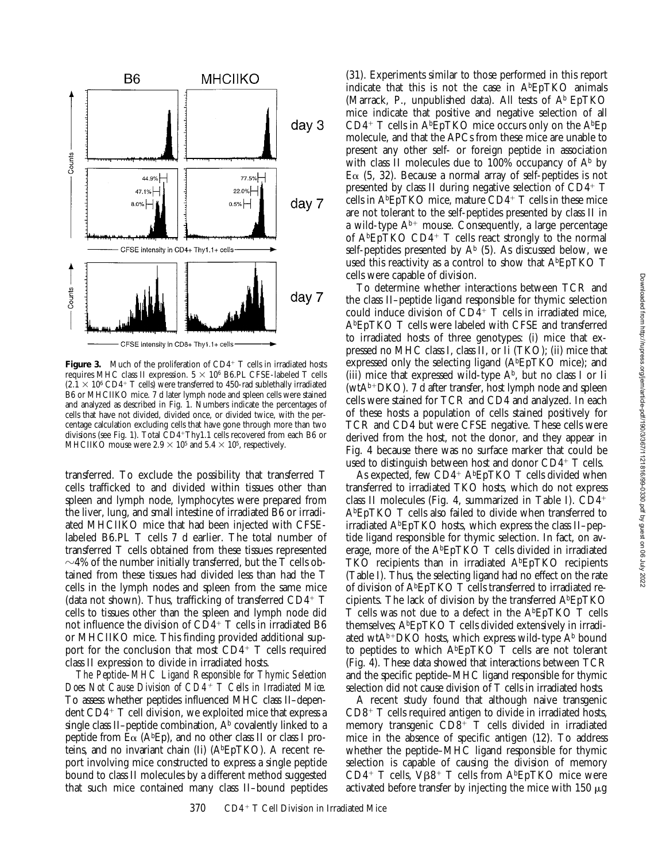

**Figure 3.** Much of the proliferation of  $CD4^+$  T cells in irradiated hosts requires MHC class II expression.  $5 \times 10^6$  B6.PL CFSE-labeled T cells  $(2.1 \times 10^6 \text{ CD4}^+ \text{ T cells})$  were transferred to 450-rad sublethally irradiated B6 or MHCIIKO mice. 7 d later lymph node and spleen cells were stained and analyzed as described in Fig. 1. Numbers indicate the percentages of cells that have not divided, divided once, or divided twice, with the percentage calculation excluding cells that have gone through more than two divisions (see Fig. 1). Total  $CD4+Thy1.1$  cells recovered from each B6 or MHCIIKO mouse were  $2.9 \times 10^5$  and  $5.4 \times 10^5$ , respectively.

transferred. To exclude the possibility that transferred T cells trafficked to and divided within tissues other than spleen and lymph node, lymphocytes were prepared from the liver, lung, and small intestine of irradiated B6 or irradiated MHCIIKO mice that had been injected with CFSElabeled B6.PL T cells 7 d earlier. The total number of transferred T cells obtained from these tissues represented  $\sim$ 4% of the number initially transferred, but the T cells obtained from these tissues had divided less than had the T cells in the lymph nodes and spleen from the same mice (data not shown). Thus, trafficking of transferred  $CD4^+$  T cells to tissues other than the spleen and lymph node did not influence the division of  $CD4^+$  T cells in irradiated B6 or MHCIIKO mice. This finding provided additional support for the conclusion that most  $CD4^+$  T cells required class II expression to divide in irradiated hosts.

*The Peptide–MHC Ligand Responsible for Thymic Selection Does Not Cause Division of CD4*1 *T Cells in Irradiated Mice.* To assess whether peptides influenced MHC class II–dependent  $CD4^+$  T cell division, we exploited mice that express a single class II–peptide combination,  $A<sup>b</sup>$  covalently linked to a peptide from  $E\alpha$  (A<sup>b</sup>Ep), and no other class II or class I proteins, and no invariant chain (Ii) (AbEpTKO). A recent report involving mice constructed to express a single peptide bound to class II molecules by a different method suggested that such mice contained many class II–bound peptides

(31). Experiments similar to those performed in this report indicate that this is not the case in  $A<sup>b</sup>EpTKO$  animals (Marrack, P., unpublished data). All tests of  $A^b$  EpTKO mice indicate that positive and negative selection of all  $CD4^+$  T cells in A<sup>b</sup>EpTKO mice occurs only on the A<sup>b</sup>Ep molecule, and that the APCs from these mice are unable to present any other self- or foreign peptide in association with class II molecules due to  $100\%$  occupancy of  $A^b$  by  $E\alpha$  (5, 32). Because a normal array of self-peptides is not presented by class II during negative selection of  $CD4^+$  T cells in  $A<sup>b</sup>EpTKO$  mice, mature  $CD4<sup>+</sup>$  T cells in these mice are not tolerant to the self-peptides presented by class II in a wild-type  $A^{b+}$  mouse. Consequently, a large percentage of  $A<sup>b</sup>EpTKO CD4+T$  cells react strongly to the normal self-peptides presented by  $A^b$  (5). As discussed below, we used this reactivity as a control to show that AbEpTKO T cells were capable of division.

To determine whether interactions between TCR and the class II–peptide ligand responsible for thymic selection could induce division of  $CD4^+$  T cells in irradiated mice, AbEpTKO T cells were labeled with CFSE and transferred to irradiated hosts of three genotypes: (i) mice that expressed no MHC class I, class II, or Ii (TKO); (ii) mice that expressed only the selecting ligand  $(A<sup>b</sup>EpTKO$  mice); and (iii) mice that expressed wild-type  $A^b$ , but no class I or Ii (wtA<sup>b+</sup>DKO). 7 d after transfer, host lymph node and spleen cells were stained for TCR and CD4 and analyzed. In each of these hosts a population of cells stained positively for TCR and CD4 but were CFSE negative. These cells were derived from the host, not the donor, and they appear in Fig. 4 because there was no surface marker that could be used to distinguish between host and donor  $CD4^+$  T cells.

As expected, few  $CD4^+$  A<sup>b</sup>EpTKO T cells divided when transferred to irradiated TKO hosts, which do not express class II molecules (Fig. 4, summarized in Table I).  $CD4^+$ AbEpTKO T cells also failed to divide when transferred to irradiated AbEpTKO hosts, which express the class II–peptide ligand responsible for thymic selection. In fact, on average, more of the AbEpTKO T cells divided in irradiated TKO recipients than in irradiated AbEpTKO recipients (Table I). Thus, the selecting ligand had no effect on the rate of division of AbEpTKO T cells transferred to irradiated recipients. The lack of division by the transferred  $A<sup>b</sup>EpTKO$ T cells was not due to a defect in the AbEpTKO T cells themselves;  $A^{b}EpTKO T$  cells divided extensively in irradiated wtA<sup>b+</sup>DKO hosts, which express wild-type  $A^b$  bound to peptides to which AbEpTKO T cells are not tolerant (Fig. 4). These data showed that interactions between TCR and the specific peptide–MHC ligand responsible for thymic selection did not cause division of T cells in irradiated hosts.

A recent study found that although naive transgenic  $CD8^+$  T cells required antigen to divide in irradiated hosts, memory transgenic  $CD8^+$  T cells divided in irradiated mice in the absence of specific antigen (12). To address whether the peptide–MHC ligand responsible for thymic selection is capable of causing the division of memory CD4<sup>+</sup> T cells,  $V\beta8$ <sup>+</sup> T cells from A<sup>b</sup>EpTKO mice were activated before transfer by injecting the mice with  $150 \mu g$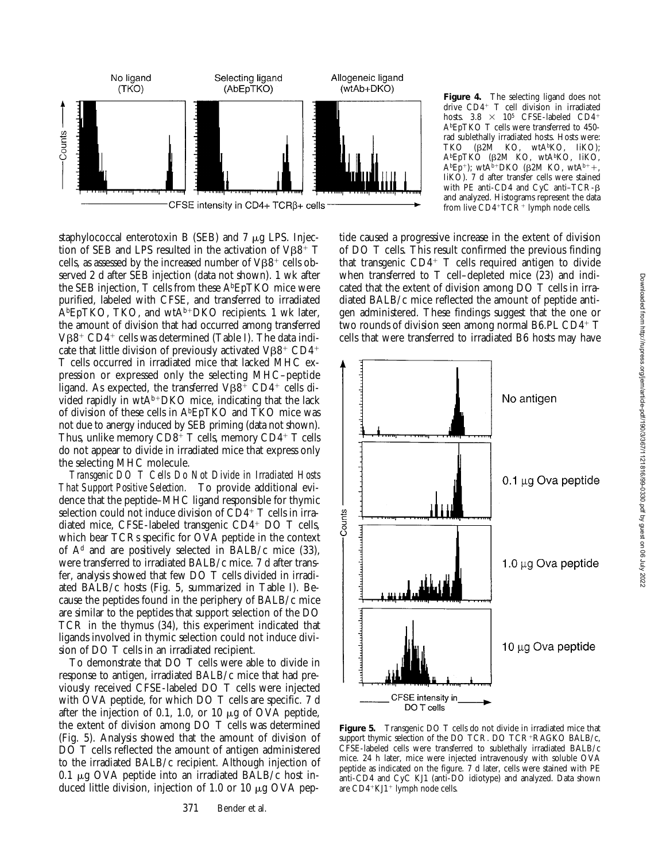

staphylococcal enterotoxin B (SEB) and  $7 \mu$ g LPS. Injection of SEB and LPS resulted in the activation of  $V\beta8$ <sup>+</sup> T cells, as assessed by the increased number of  $V\beta8^+$  cells observed 2 d after SEB injection (data not shown). 1 wk after the SEB injection, T cells from these AbEpTKO mice were purified, labeled with CFSE, and transferred to irradiated  $A<sup>b</sup>EpTKO$ , TKO, and wt $A<sup>b+</sup>DKO$  recipients. 1 wk later, the amount of division that had occurred among transferred  $V\beta8^+$  CD4<sup>+</sup> cells was determined (Table I). The data indicate that little division of previously activated  $VB8^+$  CD4<sup>+</sup> T cells occurred in irradiated mice that lacked MHC expression or expressed only the selecting MHC–peptide ligand. As expected, the transferred  $V\beta8$ <sup>+</sup> CD4<sup>+</sup> cells divided rapidly in  $wtA^{b+}DKO$  mice, indicating that the lack of division of these cells in AbEpTKO and TKO mice was not due to anergy induced by SEB priming (data not shown). Thus, unlike memory  $CD8^+$  T cells, memory  $CD4^+$  T cells do not appear to divide in irradiated mice that express only the selecting MHC molecule.

*Transgenic DO T Cells Do Not Divide in Irradiated Hosts That Support Positive Selection.* To provide additional evidence that the peptide–MHC ligand responsible for thymic selection could not induce division of  $CD4^+$  T cells in irradiated mice, CFSE-labeled transgenic  $CD4^+$  DO T cells, which bear TCRs specific for OVA peptide in the context of  $A<sup>d</sup>$  and are positively selected in BALB/c mice (33), were transferred to irradiated BALB/c mice. 7 d after transfer, analysis showed that few DO T cells divided in irradiated BALB/c hosts (Fig. 5, summarized in Table I). Because the peptides found in the periphery of BALB/c mice are similar to the peptides that support selection of the DO TCR in the thymus (34), this experiment indicated that ligands involved in thymic selection could not induce division of DO T cells in an irradiated recipient.

To demonstrate that DO T cells were able to divide in response to antigen, irradiated BALB/c mice that had previously received CFSE-labeled DO T cells were injected with OVA peptide, for which DO T cells are specific. 7 d after the injection of 0.1, 1.0, or 10  $\mu$ g of OVA peptide, the extent of division among DO T cells was determined (Fig. 5). Analysis showed that the amount of division of DO T cells reflected the amount of antigen administered to the irradiated BALB/c recipient. Although injection of 0.1  $\mu$ g OVA peptide into an irradiated BALB/c host induced little division, injection of 1.0 or 10  $\mu$ g OVA peptide caused a progressive increase in the extent of division of DO T cells. This result confirmed the previous finding that transgenic  $CD4+T$  cells required antigen to divide when transferred to T cell–depleted mice (23) and indicated that the extent of division among DO T cells in irradiated BALB/c mice reflected the amount of peptide antigen administered. These findings suggest that the one or two rounds of division seen among normal B6.PL  $CD4^+$  T cells that were transferred to irradiated B6 hosts may have

**Figure 4.** The selecting ligand does not drive  $CD4+$  T cell division in irradiated hosts.  $3.8 \times 10^5$  CFSE-labeled CD4<sup>+</sup> AbEpTKO T cells were transferred to 450 rad sublethally irradiated hosts. Hosts were:<br>TKO (B2M KO, wtA<sup>b</sup>KO, IiKO):  $(\beta 2\dot{M}$  KO, wtA<sup>b</sup>KO, IiKO); AbEpTKO (b2M KO, wtAbKO, IiKO,  $A^{b}Ep^{+}$ ); wt $A^{b+}DKO$  ( $\beta$ 2M KO, wt $A^{b+}$ ), IiKO). 7 d after transfer cells were stained with PE anti-CD4 and CyC anti–TCR-b and analyzed. Histograms represent the data from live  $CD4+TCR+1$ ymph node cells.



**Figure 5.** Transgenic DO T cells do not divide in irradiated mice that support thymic selection of the DO TCR. DO TCR+RAGKO BALB/c, CFSE-labeled cells were transferred to sublethally irradiated BALB/c mice. 24 h later, mice were injected intravenously with soluble OVA peptide as indicated on the figure. 7 d later, cells were stained with PE anti-CD4 and CyC KJ1 (anti-DO idiotype) and analyzed. Data shown are  $CD4+KJ1+$  lymph node cells.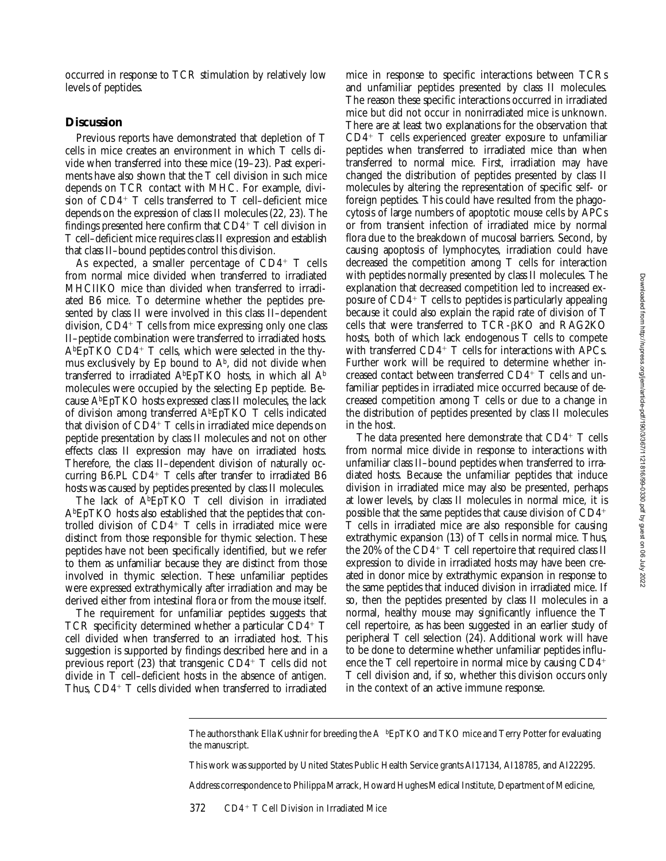occurred in response to TCR stimulation by relatively low levels of peptides.

#### **Discussion**

Previous reports have demonstrated that depletion of T cells in mice creates an environment in which T cells divide when transferred into these mice (19–23). Past experiments have also shown that the T cell division in such mice depends on TCR contact with MHC. For example, division of  $CD4^+$  T cells transferred to T cell–deficient mice depends on the expression of class II molecules (22, 23). The findings presented here confirm that  $CD4^+$  T cell division in T cell–deficient mice requires class II expression and establish that class II–bound peptides control this division.

As expected, a smaller percentage of  $CD4^+$  T cells from normal mice divided when transferred to irradiated MHCIIKO mice than divided when transferred to irradiated B6 mice. To determine whether the peptides presented by class II were involved in this class II–dependent division,  $CD4+T$  cells from mice expressing only one class II–peptide combination were transferred to irradiated hosts.  $A<sup>b</sup>EpTKO CD4+T cells$ , which were selected in the thymus exclusively by Ep bound to  $A^b$ , did not divide when transferred to irradiated AbEpTKO hosts, in which all Ab molecules were occupied by the selecting Ep peptide. Because AbEpTKO hosts expressed class II molecules, the lack of division among transferred AbEpTKO T cells indicated that division of  $CD4$ <sup>+</sup> T cells in irradiated mice depends on peptide presentation by class II molecules and not on other effects class II expression may have on irradiated hosts. Therefore, the class II–dependent division of naturally occurring B6.PL CD4+  $T$  cells after transfer to irradiated B6 hosts was caused by peptides presented by class II molecules.

The lack of  $\overline{A}{}^b$ EpTKO T cell division in irradiated AbEpTKO hosts also established that the peptides that controlled division of  $CD4^+$  T cells in irradiated mice were distinct from those responsible for thymic selection. These peptides have not been specifically identified, but we refer to them as unfamiliar because they are distinct from those involved in thymic selection. These unfamiliar peptides were expressed extrathymically after irradiation and may be derived either from intestinal flora or from the mouse itself.

The requirement for unfamiliar peptides suggests that TCR specificity determined whether a particular  $CD4^+$  T cell divided when transferred to an irradiated host. This suggestion is supported by findings described here and in a previous report  $(23)$  that transgenic CD4+ T cells did not divide in T cell–deficient hosts in the absence of antigen. Thus,  $CD4+T$  cells divided when transferred to irradiated

mice in response to specific interactions between TCRs and unfamiliar peptides presented by class II molecules. The reason these specific interactions occurred in irradiated mice but did not occur in nonirradiated mice is unknown. There are at least two explanations for the observation that  $CD4^+$  T cells experienced greater exposure to unfamiliar peptides when transferred to irradiated mice than when transferred to normal mice. First, irradiation may have changed the distribution of peptides presented by class II molecules by altering the representation of specific self- or foreign peptides. This could have resulted from the phagocytosis of large numbers of apoptotic mouse cells by APCs or from transient infection of irradiated mice by normal flora due to the breakdown of mucosal barriers. Second, by causing apoptosis of lymphocytes, irradiation could have decreased the competition among T cells for interaction with peptides normally presented by class II molecules. The explanation that decreased competition led to increased exposure of  $CD4^+$  T cells to peptides is particularly appealing because it could also explain the rapid rate of division of T cells that were transferred to TCR-bKO and RAG2KO hosts, both of which lack endogenous T cells to compete with transferred  $CD4^+$  T cells for interactions with APCs. Further work will be required to determine whether increased contact between transferred  $CD4^+$  T cells and unfamiliar peptides in irradiated mice occurred because of decreased competition among T cells or due to a change in the distribution of peptides presented by class II molecules in the host.

The data presented here demonstrate that  $CD4^+$  T cells from normal mice divide in response to interactions with unfamiliar class II–bound peptides when transferred to irradiated hosts. Because the unfamiliar peptides that induce division in irradiated mice may also be presented, perhaps at lower levels, by class II molecules in normal mice, it is possible that the same peptides that cause division of  $CD4<sup>+</sup>$ T cells in irradiated mice are also responsible for causing extrathymic expansion (13) of T cells in normal mice. Thus, the 20% of the  $CD4^+$  T cell repertoire that required class II expression to divide in irradiated hosts may have been created in donor mice by extrathymic expansion in response to the same peptides that induced division in irradiated mice. If so, then the peptides presented by class II molecules in a normal, healthy mouse may significantly influence the T cell repertoire, as has been suggested in an earlier study of peripheral T cell selection (24). Additional work will have to be done to determine whether unfamiliar peptides influence the  $T$  cell repertoire in normal mice by causing  $CD4^+$ T cell division and, if so, whether this division occurs only in the context of an active immune response.

This work was supported by United States Public Health Service grants AI17134, AI18785, and AI22295.

Address correspondence to Philippa Marrack, Howard Hughes Medical Institute, Department of Medicine,

The authors thank Ella Kushnir for breeding the A bEpTKO and TKO mice and Terry Potter for evaluating the manuscript.